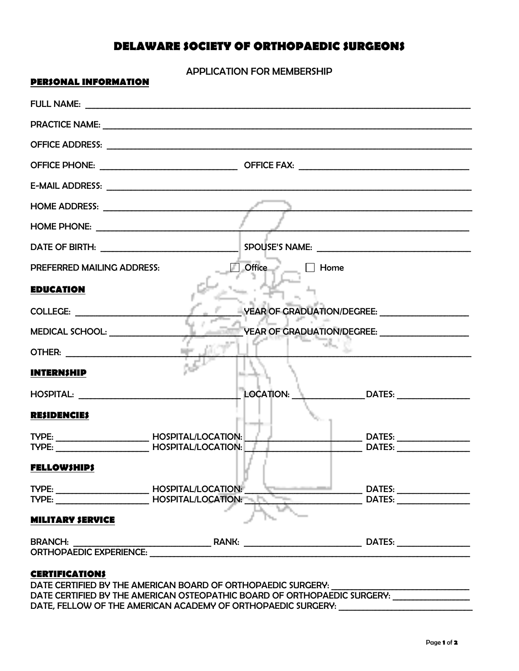## **DELAWARE SOCIETY OF ORTHOPAEDIC SURGEONS**

APPLICATION FOR MEMBERSHIP

| PEK)UNAL INFUKMAIIUN                                                                                                                             |                                                                                                                                                                                                                                |
|--------------------------------------------------------------------------------------------------------------------------------------------------|--------------------------------------------------------------------------------------------------------------------------------------------------------------------------------------------------------------------------------|
|                                                                                                                                                  |                                                                                                                                                                                                                                |
|                                                                                                                                                  |                                                                                                                                                                                                                                |
|                                                                                                                                                  |                                                                                                                                                                                                                                |
|                                                                                                                                                  |                                                                                                                                                                                                                                |
|                                                                                                                                                  |                                                                                                                                                                                                                                |
|                                                                                                                                                  |                                                                                                                                                                                                                                |
|                                                                                                                                                  |                                                                                                                                                                                                                                |
| DATE OF BIRTH: NAME OF BIRTH:                                                                                                                    | SPOUSE'S NAME:                                                                                                                                                                                                                 |
| <b>PREFERRED MAILING ADDRESS:</b>                                                                                                                | $\Box$ Office<br>Home                                                                                                                                                                                                          |
| <b>EDUCATION</b>                                                                                                                                 |                                                                                                                                                                                                                                |
| <b>COLLEGE: COLLEGE:</b>                                                                                                                         | VEAR OF GRADUATION/DEGREE: VEAR OF GRADUATION                                                                                                                                                                                  |
| MEDICAL SCHOOL:                                                                                                                                  | VEAR OF GRADUATION/DEGREE: _____________________                                                                                                                                                                               |
|                                                                                                                                                  |                                                                                                                                                                                                                                |
| <b>INTERNSHIP</b>                                                                                                                                |                                                                                                                                                                                                                                |
|                                                                                                                                                  | $\overline{\phantom{a}}$ LOCATION: $\frac{1}{2}$ $\overline{\phantom{a}}$ DATES: ________________                                                                                                                              |
| <b>RESIDENCIES</b>                                                                                                                               |                                                                                                                                                                                                                                |
| TYPE: HOSPITAL/LOCATION:                                                                                                                         |                                                                                                                                                                                                                                |
|                                                                                                                                                  | DATES: the contract of the contract of the contract of the contract of the contract of the contract of the contract of the contract of the contract of the contract of the contract of the contract of the contract of the con |
| <b>FELLOWSHIPS</b>                                                                                                                               |                                                                                                                                                                                                                                |
| TYPE: ________________________________HOSPITAL/LOCATION: ________________________<br>TYPE: ______________________________HOSPITAL/LOCATION: ____ |                                                                                                                                                                                                                                |
| <b>MILITARY SERVICE</b>                                                                                                                          |                                                                                                                                                                                                                                |
| <b>BRANCH:</b>                                                                                                                                   |                                                                                                                                                                                                                                |
| ORTHOPAEDIC EXPERIENCE: UNIVERSITY ORTHOPAEDIC EXPERIENCE:                                                                                       |                                                                                                                                                                                                                                |

## **CERTIFICATIONS**

**PERSONAL INFORMATION**

DATE CERTIFIED BY THE AMERICAN BOARD OF ORTHOPAEDIC SURGERY: DATE CERTIFIED BY THE AMERICAN OSTEOPATHIC BOARD OF ORTHOPAEDIC SURGERY: DATE, FELLOW OF THE AMERICAN ACADEMY OF ORTHOPAEDIC SURGERY: \_\_\_\_\_\_\_\_\_\_\_\_\_\_\_\_\_\_\_